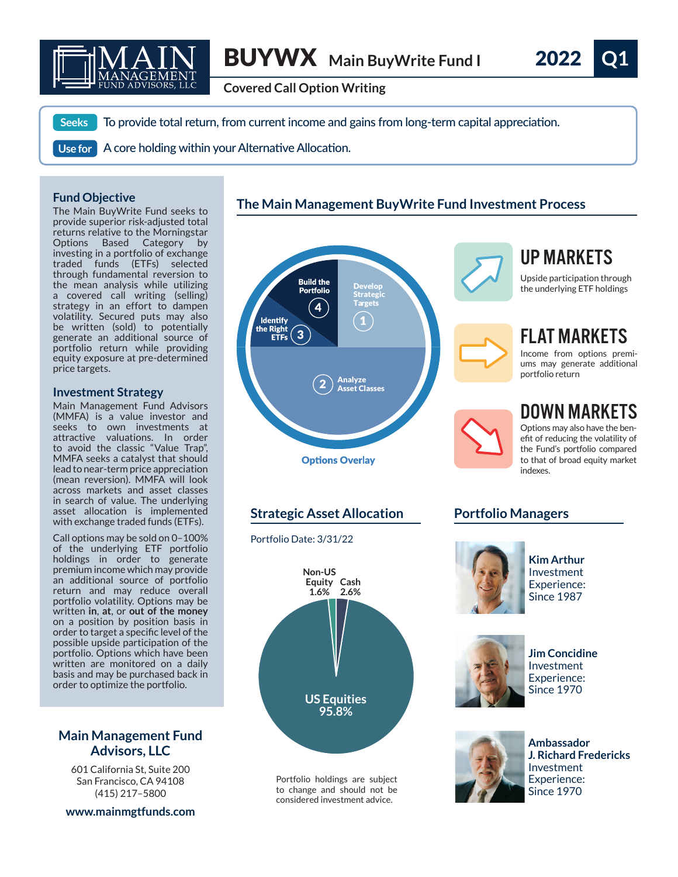

**Covered Call Option Writing**

To provide total return, from current income and gains from long-term capital appreciation.

A core holding within your Alternative Allocation. **Use for**

## **Fund Objective**

**Seeks**

The Main BuyWrite Fund seeks to provide superior risk-adjusted total returns relative to the Morningstar Options Based Category by investing in a portfolio of exchange traded funds (ETFs) selected through fundamental reversion to the mean analysis while utilizing a covered call writing (selling) strategy in an effort to dampen volatility. Secured puts may also be written (sold) to potentially generate an additional source of portfolio return while providing equity exposure at pre-determined price targets.

### **Investment Strategy**

Main Management Fund Advisors (MMFA) is a value investor and seeks to own investments at attractive valuations. In order to avoid the classic "Value Trap", MMFA seeks a catalyst that should lead to near-term price appreciation (mean reversion). MMFA will look across markets and asset classes in search of value. The underlying asset allocation is implemented with exchange traded funds (ETFs).

Call options may be sold on 0–100% of the underlying ETF portfolio holdings in order to generate premium income which may provide an additional source of portfolio return and may reduce overall portfolio volatility. Options may be written **in**, **at**, or **out of the money** on a position by position basis in order to target a specific level of the possible upside participation of the portfolio. Options which have been written are monitored on a daily basis and may be purchased back in order to optimize the portfolio.

# **Main Management Fund Advisors, LLC**

601 California St, Suite 200 San Francisco, CA 94108 (415) 217–5800

### **www.mainmgtfunds.com**





**Strategic Asset Allocation**  Portfolio Date: 3/31/22 **US Equities 95.8% Non-US Equity Cash 1.6% 2.6%**

> Portfolio holdings are subject to change and should not be considered investment advice.



# UP MARKETS

Upside participation through the underlying ETF holdings



# FLAT MARKETS

Income from options premiums may generate additional portfolio return

DOWN MARKETS Options may also have the benefit of reducing the volatility of the Fund's portfolio compared to that of broad equity market indexes.

# **Portfolio Managers**



**Kim Arthur** Investment Experience: Since 1987



**Jim Concidine** Investment Experience: Since 1970



**Ambassador J. Richard Fredericks** Investment Experience: Since 1970